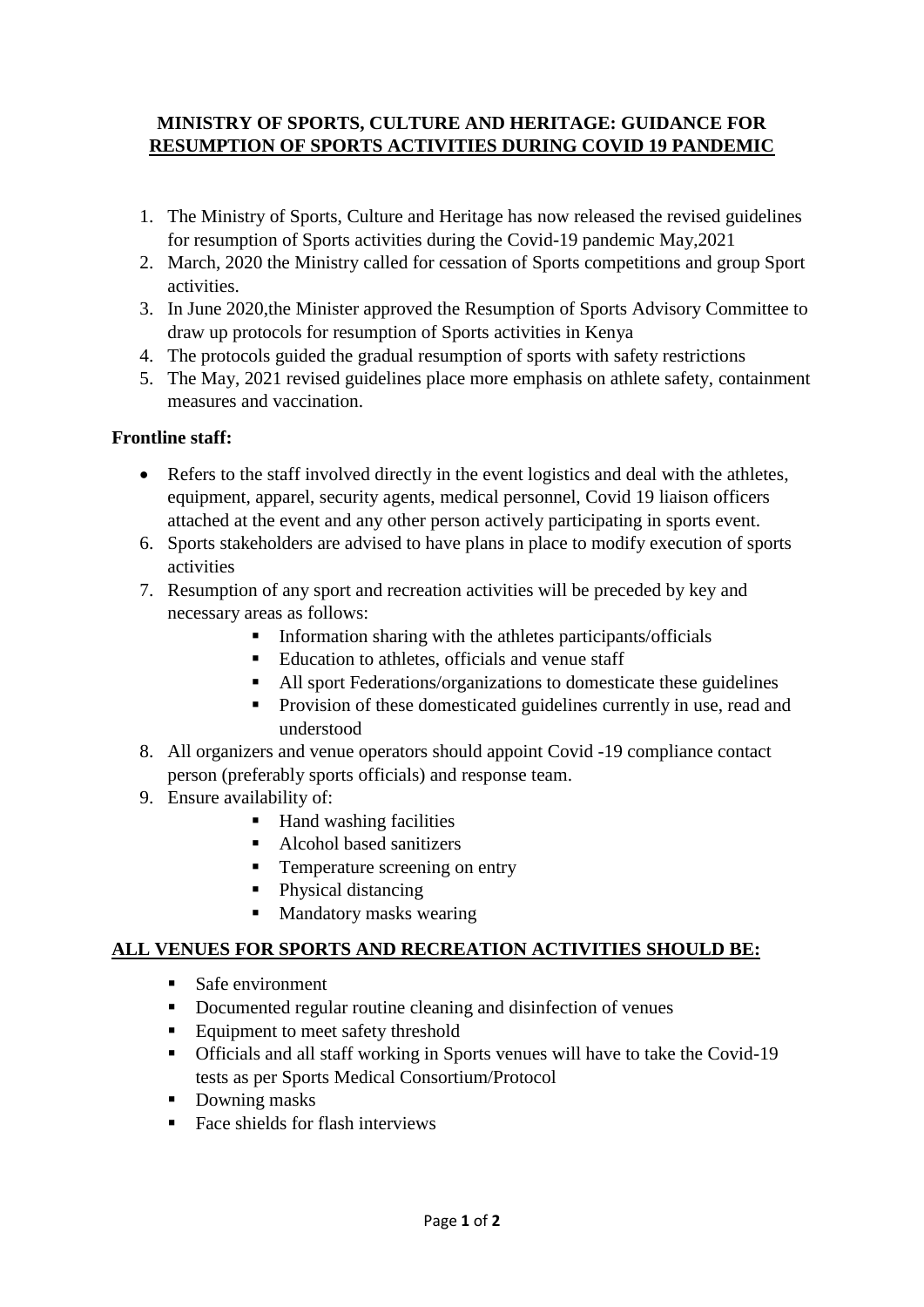## **MINISTRY OF SPORTS, CULTURE AND HERITAGE: GUIDANCE FOR RESUMPTION OF SPORTS ACTIVITIES DURING COVID 19 PANDEMIC**

- 1. The Ministry of Sports, Culture and Heritage has now released the revised guidelines for resumption of Sports activities during the Covid-19 pandemic May,2021
- 2. March, 2020 the Ministry called for cessation of Sports competitions and group Sport activities.
- 3. In June 2020,the Minister approved the Resumption of Sports Advisory Committee to draw up protocols for resumption of Sports activities in Kenya
- 4. The protocols guided the gradual resumption of sports with safety restrictions
- 5. The May, 2021 revised guidelines place more emphasis on athlete safety, containment measures and vaccination.

### **Frontline staff:**

- Refers to the staff involved directly in the event logistics and deal with the athletes, equipment, apparel, security agents, medical personnel, Covid 19 liaison officers attached at the event and any other person actively participating in sports event.
- 6. Sports stakeholders are advised to have plans in place to modify execution of sports activities
- 7. Resumption of any sport and recreation activities will be preceded by key and necessary areas as follows:
	- $\blacksquare$  Information sharing with the athletes participants/officials
	- Education to athletes, officials and venue staff
	- All sport Federations/organizations to domesticate these guidelines
	- **Provision of these domesticated guidelines currently in use, read and** understood
- 8. All organizers and venue operators should appoint Covid -19 compliance contact person (preferably sports officials) and response team.
- 9. Ensure availability of:
	- Hand washing facilities
	- Alcohol based sanitizers
	- **Temperature screening on entry**
	- Physical distancing
	- Mandatory masks wearing

### **ALL VENUES FOR SPORTS AND RECREATION ACTIVITIES SHOULD BE:**

- Safe environment
- Documented regular routine cleaning and disinfection of venues
- Equipment to meet safety threshold
- Officials and all staff working in Sports venues will have to take the Covid-19 tests as per Sports Medical Consortium/Protocol
- Downing masks
- Face shields for flash interviews